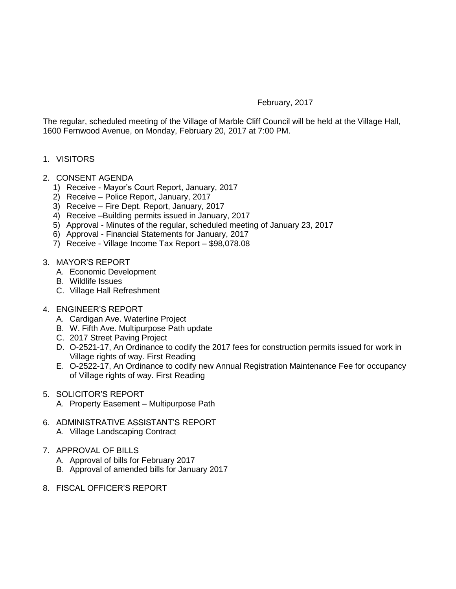## February, 2017

The regular, scheduled meeting of the Village of Marble Cliff Council will be held at the Village Hall, 1600 Fernwood Avenue, on Monday, February 20, 2017 at 7:00 PM.

- 1. VISITORS
- 2. CONSENT AGENDA
	- 1) Receive Mayor's Court Report, January, 2017
	- 2) Receive Police Report, January, 2017
	- 3) Receive Fire Dept. Report, January, 2017
	- 4) Receive –Building permits issued in January, 2017
	- 5) Approval Minutes of the regular, scheduled meeting of January 23, 2017
	- 6) Approval Financial Statements for January, 2017
	- 7) Receive Village Income Tax Report \$98,078.08
- 3. MAYOR'S REPORT
	- A. Economic Development
	- B. Wildlife Issues
	- C. Village Hall Refreshment
- 4. ENGINEER'S REPORT
	- A. Cardigan Ave. Waterline Project
	- B. W. Fifth Ave. Multipurpose Path update
	- C. 2017 Street Paving Project
	- D. O-2521-17, An Ordinance to codify the 2017 fees for construction permits issued for work in Village rights of way. First Reading
	- E. O-2522-17, An Ordinance to codify new Annual Registration Maintenance Fee for occupancy of Village rights of way. First Reading
- 5. SOLICITOR'S REPORT
	- A. Property Easement Multipurpose Path
- 6. ADMINISTRATIVE ASSISTANT'S REPORT A. Village Landscaping Contract
- 7. APPROVAL OF BILLS
	- A. Approval of bills for February 2017
	- B. Approval of amended bills for January 2017
- 8. FISCAL OFFICER'S REPORT